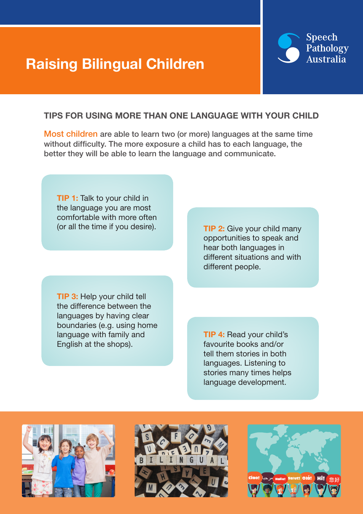# Raising Bilingual Children



## TIPS FOR USING MORE THAN ONE LANGUAGE WITH YOUR CHILD

Most children are able to learn two (or more) languages at the same time without difficulty. The more exposure a child has to each language, the better they will be able to learn the language and communicate.

**TIP 1:** Talk to your child in the language you are most comfortable with more often (or all the time if you desire).

**TIP 3: Help your child tell** the difference between the languages by having clear boundaries (e.g. using home language with family and English at the shops).

**TIP 2:** Give your child many opportunities to speak and hear both languages in different situations and with different people.

TIP 4: Read your child's favourite books and/or tell them stories in both languages. Listening to stories many times helps language development.